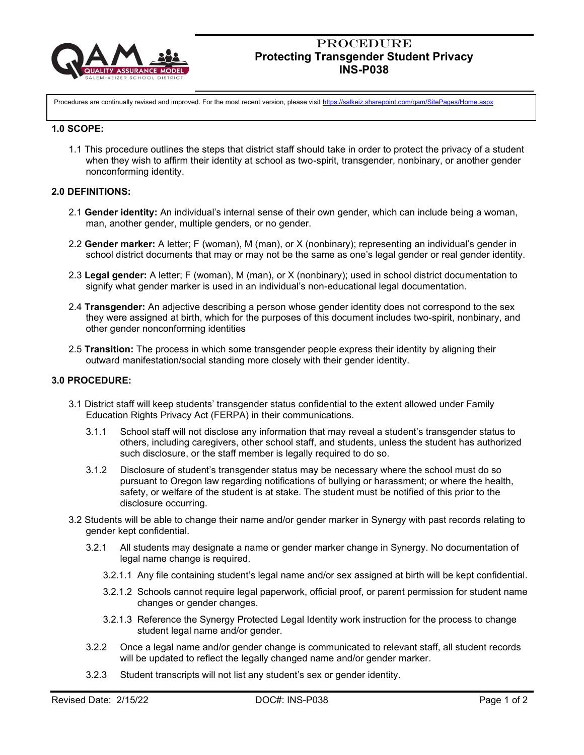

# **PROCEDURE Protecting Transgender Student Privacy INS-P038**

Procedures are continually revised and improved. For the most recent version, please visit <https://salkeiz.sharepoint.com/qam/SitePages/Home.aspx>

### **1.0 SCOPE:**

1.1 This procedure outlines the steps that district staff should take in order to protect the privacy of a student when they wish to affirm their identity at school as two-spirit, transgender, nonbinary, or another gender nonconforming identity.

### **2.0 DEFINITIONS:**

- 2.1 **Gender identity:** An individual's internal sense of their own gender, which can include being a woman, man, another gender, multiple genders, or no gender.
- 2.2 **Gender marker:** A letter; F (woman), M (man), or X (nonbinary); representing an individual's gender in school district documents that may or may not be the same as one's legal gender or real gender identity.
- 2.3 **Legal gender:** A letter; F (woman), M (man), or X (nonbinary); used in school district documentation to signify what gender marker is used in an individual's non-educational legal documentation.
- 2.4 **Transgender:** An adjective describing a person whose gender identity does not correspond to the sex they were assigned at birth, which for the purposes of this document includes two-spirit, nonbinary, and other gender nonconforming identities
- 2.5 **Transition:** The process in which some transgender people express their identity by aligning their outward manifestation/social standing more closely with their gender identity.

### **3.0 PROCEDURE:**

- 3.1 District staff will keep students' transgender status confidential to the extent allowed under Family Education Rights Privacy Act (FERPA) in their communications.
	- 3.1.1 School staff will not disclose any information that may reveal a student's transgender status to others, including caregivers, other school staff, and students, unless the student has authorized such disclosure, or the staff member is legally required to do so.
	- 3.1.2 Disclosure of student's transgender status may be necessary where the school must do so pursuant to Oregon law regarding notifications of bullying or harassment; or where the health, safety, or welfare of the student is at stake. The student must be notified of this prior to the disclosure occurring.
- 3.2 Students will be able to change their name and/or gender marker in Synergy with past records relating to gender kept confidential.
	- 3.2.1 All students may designate a name or gender marker change in Synergy. No documentation of legal name change is required.
		- 3.2.1.1 Any file containing student's legal name and/or sex assigned at birth will be kept confidential.
		- 3.2.1.2 Schools cannot require legal paperwork, official proof, or parent permission for student name changes or gender changes.
		- 3.2.1.3 Reference the Synergy Protected Legal Identity work instruction for the process to change student legal name and/or gender.
	- 3.2.2 Once a legal name and/or gender change is communicated to relevant staff, all student records will be updated to reflect the legally changed name and/or gender marker.
	- 3.2.3 Student transcripts will not list any student's sex or gender identity.